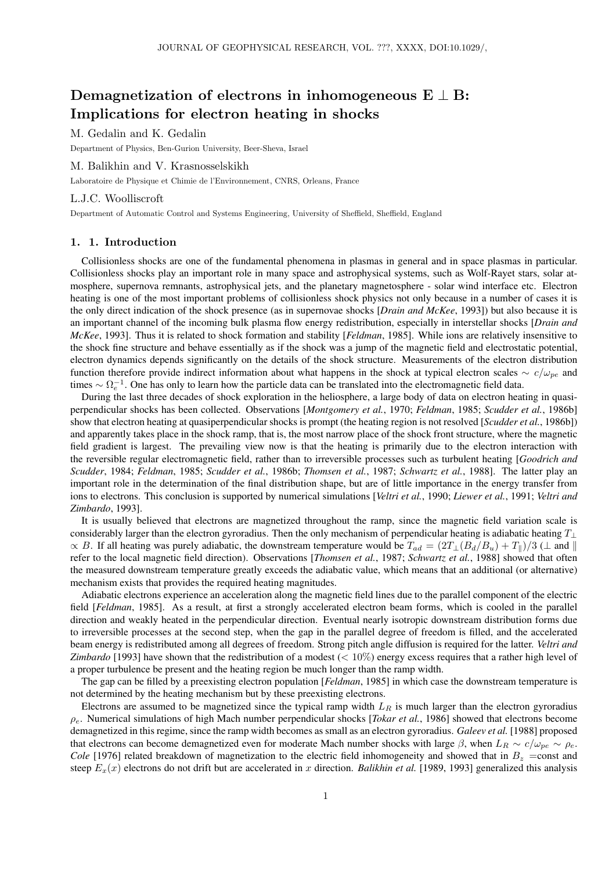# Demagnetization of electrons in inhomogeneous  $E \perp B$ : Implications for electron heating in shocks

M. Gedalin and K. Gedalin

Department of Physics, Ben-Gurion University, Beer-Sheva, Israel

M. Balikhin and V. Krasnosselskikh

Laboratoire de Physique et Chimie de l'Environnement, CNRS, Orleans, France

### L.J.C. Woolliscroft

Department of Automatic Control and Systems Engineering, University of Sheffield, Sheffield, England

## 1. 1. Introduction

Collisionless shocks are one of the fundamental phenomena in plasmas in general and in space plasmas in particular. Collisionless shocks play an important role in many space and astrophysical systems, such as Wolf-Rayet stars, solar atmosphere, supernova remnants, astrophysical jets, and the planetary magnetosphere - solar wind interface etc. Electron heating is one of the most important problems of collisionless shock physics not only because in a number of cases it is the only direct indication of the shock presence (as in supernovae shocks [*Drain and McKee*, 1993]) but also because it is an important channel of the incoming bulk plasma flow energy redistribution, especially in interstellar shocks [*Drain and McKee*, 1993]. Thus it is related to shock formation and stability [*Feldman*, 1985]. While ions are relatively insensitive to the shock fine structure and behave essentially as if the shock was a jump of the magnetic field and electrostatic potential, electron dynamics depends significantly on the details of the shock structure. Measurements of the electron distribution function therefore provide indirect information about what happens in the shock at typical electron scales  $\sim c/\omega_{pe}$  and times  $\sim \Omega_e^{-1}$ . One has only to learn how the particle data can be translated into the electromagnetic field data.

During the last three decades of shock exploration in the heliosphere, a large body of data on electron heating in quasiperpendicular shocks has been collected. Observations [*Montgomery et al.*, 1970; *Feldman*, 1985; *Scudder et al.*, 1986b] show that electron heating at quasiperpendicular shocks is prompt (the heating region is not resolved [*Scudder et al.*, 1986b]) and apparently takes place in the shock ramp, that is, the most narrow place of the shock front structure, where the magnetic field gradient is largest. The prevailing view now is that the heating is primarily due to the electron interaction with the reversible regular electromagnetic field, rather than to irreversible processes such as turbulent heating [*Goodrich and Scudder*, 1984; *Feldman*, 1985; *Scudder et al.*, 1986b; *Thomsen et al.*, 1987; *Schwartz et al.*, 1988]. The latter play an important role in the determination of the final distribution shape, but are of little importance in the energy transfer from ions to electrons. This conclusion is supported by numerical simulations [*Veltri et al.*, 1990; *Liewer et al.*, 1991; *Veltri and Zimbardo*, 1993].

It is usually believed that electrons are magnetized throughout the ramp, since the magnetic field variation scale is considerably larger than the electron gyroradius. Then the only mechanism of perpendicular heating is adiabatic heating  $T_{\perp}$  $\propto B$ . If all heating was purely adiabatic, the downstream temperature would be  $T_{ad} = (2T_{\perp}(B_d/B_u) + T_{\parallel})/3$  ( $\perp$  and  $\parallel$ refer to the local magnetic field direction). Observations [*Thomsen et al.*, 1987; *Schwartz et al.*, 1988] showed that often the measured downstream temperature greatly exceeds the adiabatic value, which means that an additional (or alternative) mechanism exists that provides the required heating magnitudes.

Adiabatic electrons experience an acceleration along the magnetic field lines due to the parallel component of the electric field [*Feldman*, 1985]. As a result, at first a strongly accelerated electron beam forms, which is cooled in the parallel direction and weakly heated in the perpendicular direction. Eventual nearly isotropic downstream distribution forms due to irreversible processes at the second step, when the gap in the parallel degree of freedom is filled, and the accelerated beam energy is redistributed among all degrees of freedom. Strong pitch angle diffusion is required for the latter. *Veltri and Zimbardo* [1993] have shown that the redistribution of a modest (< 10%) energy excess requires that a rather high level of a proper turbulence be present and the heating region be much longer than the ramp width.

The gap can be filled by a preexisting electron population [*Feldman*, 1985] in which case the downstream temperature is not determined by the heating mechanism but by these preexisting electrons.

Electrons are assumed to be magnetized since the typical ramp width  $L_R$  is much larger than the electron gyroradius  $\rho_e$ . Numerical simulations of high Mach number perpendicular shocks [*Tokar et al.*, 1986] showed that electrons become demagnetized in this regime, since the ramp width becomes as small as an electron gyroradius. *Galeev et al.* [1988] proposed that electrons can become demagnetized even for moderate Mach number shocks with large  $\beta$ , when  $L_R \sim c/\omega_{pe} \sim \rho_e$ . *Cole* [1976] related breakdown of magnetization to the electric field inhomogeneity and showed that in  $B_z$  =const and steep  $E_x(x)$  electrons do not drift but are accelerated in x direction. *Balikhin et al.* [1989, 1993] generalized this analysis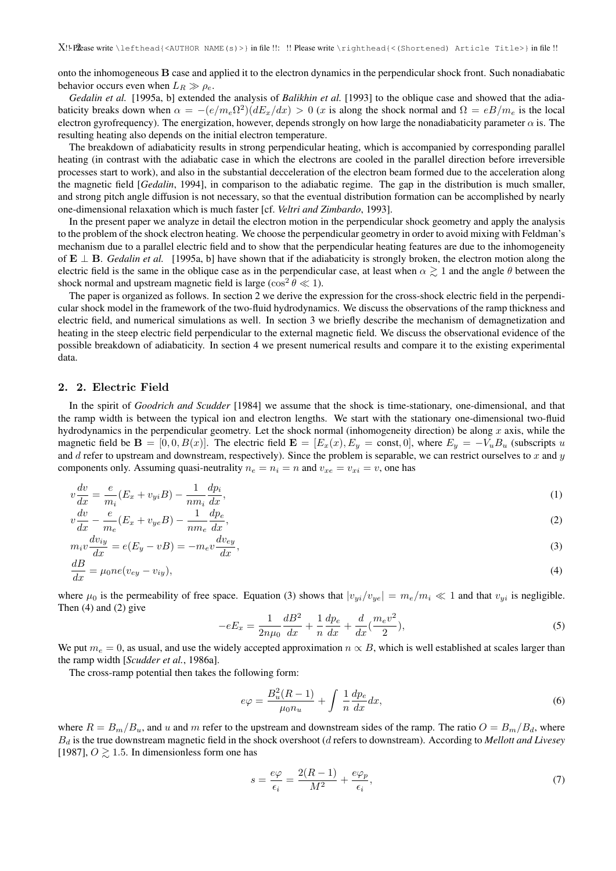onto the inhomogeneous B case and applied it to the electron dynamics in the perpendicular shock front. Such nonadiabatic behavior occurs even when  $L_R \gg \rho_e$ .

*Gedalin et al.* [1995a, b] extended the analysis of *Balikhin et al.* [1993] to the oblique case and showed that the adiabaticity breaks down when  $\alpha = -(e/m_e\Omega^2)(dE_x/dx) > 0$  (x is along the shock normal and  $\Omega = eB/m_e$  is the local electron gyrofrequency). The energization, however, depends strongly on how large the nonadiabaticity parameter  $\alpha$  is. The resulting heating also depends on the initial electron temperature.

The breakdown of adiabaticity results in strong perpendicular heating, which is accompanied by corresponding parallel heating (in contrast with the adiabatic case in which the electrons are cooled in the parallel direction before irreversible processes start to work), and also in the substantial decceleration of the electron beam formed due to the acceleration along the magnetic field [*Gedalin*, 1994], in comparison to the adiabatic regime. The gap in the distribution is much smaller, and strong pitch angle diffusion is not necessary, so that the eventual distribution formation can be accomplished by nearly one-dimensional relaxation which is much faster [cf. *Veltri and Zimbardo*, 1993].

In the present paper we analyze in detail the electron motion in the perpendicular shock geometry and apply the analysis to the problem of the shock electron heating. We choose the perpendicular geometry in order to avoid mixing with Feldman's mechanism due to a parallel electric field and to show that the perpendicular heating features are due to the inhomogeneity of  $E \perp B$ . *Gedalin et al.* [1995a, b] have shown that if the adiabaticity is strongly broken, the electron motion along the electric field is the same in the oblique case as in the perpendicular case, at least when  $\alpha \gtrsim 1$  and the angle  $\theta$  between the shock normal and upstream magnetic field is large ( $\cos^2 \theta \ll 1$ ).

The paper is organized as follows. In section 2 we derive the expression for the cross-shock electric field in the perpendicular shock model in the framework of the two-fluid hydrodynamics. We discuss the observations of the ramp thickness and electric field, and numerical simulations as well. In section 3 we briefly describe the mechanism of demagnetization and heating in the steep electric field perpendicular to the external magnetic field. We discuss the observational evidence of the possible breakdown of adiabaticity. In section 4 we present numerical results and compare it to the existing experimental data.

### 2. 2. Electric Field

In the spirit of *Goodrich and Scudder* [1984] we assume that the shock is time-stationary, one-dimensional, and that the ramp width is between the typical ion and electron lengths. We start with the stationary one-dimensional two-fluid hydrodynamics in the perpendicular geometry. Let the shock normal (inhomogeneity direction) be along  $x$  axis, while the magnetic field be  $\mathbf{B} = [0, 0, B(x)]$ . The electric field  $\mathbf{E} = [E_x(x), E_y = \text{const}, 0]$ , where  $E_y = -V_u B_u$  (subscripts u and  $d$  refer to upstream and downstream, respectively). Since the problem is separable, we can restrict ourselves to  $x$  and  $y$ components only. Assuming quasi-neutrality  $n_e = n_i = n$  and  $v_{xe} = v_{xi} = v$ , one has

$$
v\frac{dv}{dx} = \frac{e}{m_i}(E_x + v_{yi}B) - \frac{1}{nm_i}\frac{dp_i}{dx},\tag{1}
$$

$$
v\frac{dv}{dx} - \frac{e}{m_e}(E_x + v_{ye}B) - \frac{1}{nm_e}\frac{dp_e}{dx},\tag{2}
$$

$$
m_i v \frac{dv_{iy}}{dx} = e(E_y - vB) = -m_e v \frac{dv_{ey}}{dx},
$$
\n(3)

$$
\frac{dB}{dx} = \mu_0 n e (v_{ey} - v_{iy}),\tag{4}
$$

where  $\mu_0$  is the permeability of free space. Equation (3) shows that  $|v_{vi}/v_{ve}| = m_e/m_i \ll 1$  and that  $v_{vi}$  is negligible. Then  $(4)$  and  $(2)$  give

$$
-eE_x = \frac{1}{2n\mu_0} \frac{dB^2}{dx} + \frac{1}{n} \frac{dp_e}{dx} + \frac{d}{dx} (\frac{m_e v^2}{2}),
$$
\n(5)

We put  $m_e = 0$ , as usual, and use the widely accepted approximation  $n \propto B$ , which is well established at scales larger than the ramp width [*Scudder et al.*, 1986a].

The cross-ramp potential then takes the following form:

$$
e\varphi = \frac{B_u^2(R-1)}{\mu_0 n_u} + \int \frac{1}{n} \frac{dp_e}{dx} dx,\tag{6}
$$

where  $R = B_m/B_u$ , and u and m refer to the upstream and downstream sides of the ramp. The ratio  $O = B_m/B_d$ , where B<sup>d</sup> is the true downstream magnetic field in the shock overshoot (d refers to downstream). According to *Mellott and Livesey* [1987],  $O \ge 1.5$ . In dimensionless form one has

$$
s = \frac{e\varphi}{\epsilon_i} = \frac{2(R-1)}{M^2} + \frac{e\varphi_p}{\epsilon_i},\tag{7}
$$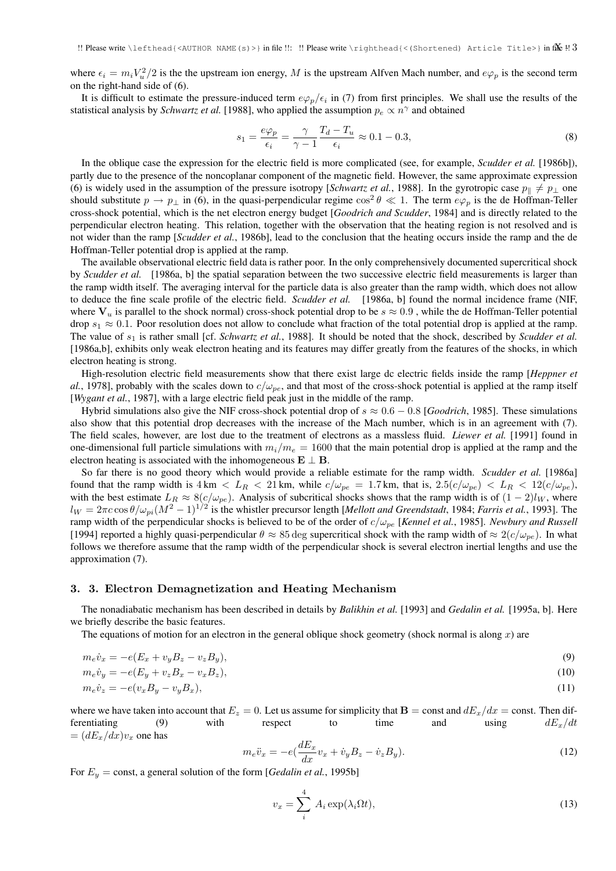where  $\epsilon_i = m_i V_u^2/2$  is the the upstream ion energy, M is the upstream Alfven Mach number, and  $e\varphi_p$  is the second term on the right-hand side of (6).

It is difficult to estimate the pressure-induced term  $e\varphi_p/\epsilon_i$  in (7) from first principles. We shall use the results of the statistical analysis by *Schwartz et al.* [1988], who applied the assumption  $p_e \propto n^{\gamma}$  and obtained

$$
s_1 = \frac{e\varphi_p}{\epsilon_i} = \frac{\gamma}{\gamma - 1} \frac{T_d - T_u}{\epsilon_i} \approx 0.1 - 0.3,\tag{8}
$$

In the oblique case the expression for the electric field is more complicated (see, for example, *Scudder et al.* [1986b]), partly due to the presence of the noncoplanar component of the magnetic field. However, the same approximate expression (6) is widely used in the assumption of the pressure isotropy [*Schwartz et al.*, 1988]. In the gyrotropic case  $p_{\parallel} \neq p_{\perp}$  one should substitute  $p \to p_\perp$  in (6), in the quasi-perpendicular regime  $\cos^2 \theta \ll 1$ . The term  $e\varphi_p$  is the de Hoffman-Teller cross-shock potential, which is the net electron energy budget [*Goodrich and Scudder*, 1984] and is directly related to the perpendicular electron heating. This relation, together with the observation that the heating region is not resolved and is not wider than the ramp [*Scudder et al.*, 1986b], lead to the conclusion that the heating occurs inside the ramp and the de Hoffman-Teller potential drop is applied at the ramp.

The available observational electric field data is rather poor. In the only comprehensively documented supercritical shock by *Scudder et al.* [1986a, b] the spatial separation between the two successive electric field measurements is larger than the ramp width itself. The averaging interval for the particle data is also greater than the ramp width, which does not allow to deduce the fine scale profile of the electric field. *Scudder et al.* [1986a, b] found the normal incidence frame (NIF, where  $V_u$  is parallel to the shock normal) cross-shock potential drop to be  $s \approx 0.9$ , while the de Hoffman-Teller potential drop  $s_1 \approx 0.1$ . Poor resolution does not allow to conclude what fraction of the total potential drop is applied at the ramp. The value of  $s_1$  is rather small [cf. *Schwartz et al.*, 1988]. It should be noted that the shock, described by *Scudder et al.* [1986a,b], exhibits only weak electron heating and its features may differ greatly from the features of the shocks, in which electron heating is strong.

High-resolution electric field measurements show that there exist large dc electric fields inside the ramp [*Heppner et al.*, 1978], probably with the scales down to  $c/\omega_{pe}$ , and that most of the cross-shock potential is applied at the ramp itself [*Wygant et al.*, 1987], with a large electric field peak just in the middle of the ramp.

Hybrid simulations also give the NIF cross-shock potential drop of s ≈ 0.6 − 0.8 [*Goodrich*, 1985]. These simulations also show that this potential drop decreases with the increase of the Mach number, which is in an agreement with (7). The field scales, however, are lost due to the treatment of electrons as a massless fluid. *Liewer et al.* [1991] found in one-dimensional full particle simulations with  $m_i/m_e = 1600$  that the main potential drop is applied at the ramp and the electron heating is associated with the inhomogeneous  $E \perp B$ .

So far there is no good theory which would provide a reliable estimate for the ramp width. *Scudder et al.* [1986a] found that the ramp width is  $4 \text{ km} < L_R < 21 \text{ km}$ , while  $c/\omega_{pe} = 1.7 \text{ km}$ , that is,  $2.5(c/\omega_{pe}) < L_R < 12(c/\omega_{pe})$ , with the best estimate  $L_R \approx 8(c/\omega_{pe})$ . Analysis of subcritical shocks shows that the ramp width is of  $(1-2)l_W$ , where  $l_W = 2\pi c \cos\theta/\omega_{pi}(M^2-1)^{1/2}$  is the whistler precursor length [*Mellott and Greendstadt*, 1984; *Farris et al.*, 1993]. The ramp width of the perpendicular shocks is believed to be of the order of c/ωpe [*Kennel et al.*, 1985]. *Newbury and Russell* [1994] reported a highly quasi-perpendicular  $\theta \approx 85 \text{ deg}$  supercritical shock with the ramp width of  $\approx 2(c/\omega_{pe})$ . In what follows we therefore assume that the ramp width of the perpendicular shock is several electron inertial lengths and use the approximation (7).

### 3. 3. Electron Demagnetization and Heating Mechanism

The nonadiabatic mechanism has been described in details by *Balikhin et al.* [1993] and *Gedalin et al.* [1995a, b]. Here we briefly describe the basic features.

The equations of motion for an electron in the general oblique shock geometry (shock normal is along  $x$ ) are

$$
m_e \dot{v}_x = -e(E_x + v_y B_z - v_z B_y),\tag{9}
$$

$$
m_e \dot{v}_y = -e(E_y + v_z B_x - v_x B_z),\tag{10}
$$

$$
m_e \dot{v}_z = -e(v_x B_y - v_y B_x),\tag{11}
$$

where we have taken into account that  $E_z = 0$ . Let us assume for simplicity that  $\mathbf{B} = \text{const}$  and  $dE_x/dx = \text{const}$ . Then differentiating (9) with respect to time and using  $dE_x/dt$  $= (dE_x/dx)v_x$  one has

$$
m_e \ddot{v}_x = -e\left(\frac{dE_x}{dx}v_x + \dot{v}_y B_z - \dot{v}_z B_y\right). \tag{12}
$$

For  $E_y$  = const, a general solution of the form [*Gedalin et al.*, 1995b]

$$
v_x = \sum_{i}^{4} A_i \exp(\lambda_i \Omega t), \qquad (13)
$$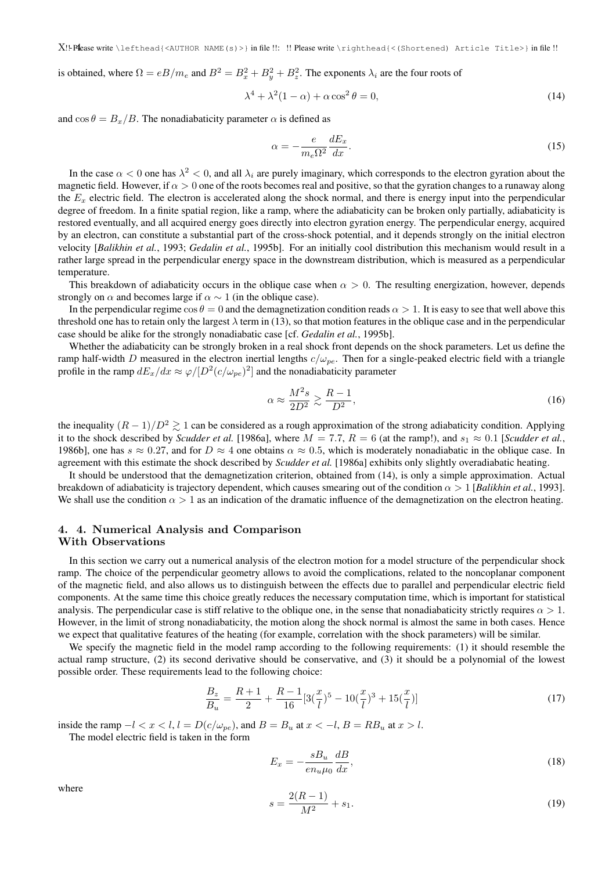is obtained, where  $\Omega = eB/m_e$  and  $B^2 = B_x^2 + B_y^2 + B_z^2$ . The exponents  $\lambda_i$  are the four roots of

$$
\lambda^4 + \lambda^2 (1 - \alpha) + \alpha \cos^2 \theta = 0,\tag{14}
$$

and  $\cos \theta = B_x/B$ . The nonadiabaticity parameter  $\alpha$  is defined as

$$
\alpha = -\frac{e}{m_e \Omega^2} \frac{dE_x}{dx}.
$$
\n(15)

In the case  $\alpha < 0$  one has  $\lambda^2 < 0$ , and all  $\lambda_i$  are purely imaginary, which corresponds to the electron gyration about the magnetic field. However, if  $\alpha > 0$  one of the roots becomes real and positive, so that the gyration changes to a runaway along the  $E_x$  electric field. The electron is accelerated along the shock normal, and there is energy input into the perpendicular degree of freedom. In a finite spatial region, like a ramp, where the adiabaticity can be broken only partially, adiabaticity is restored eventually, and all acquired energy goes directly into electron gyration energy. The perpendicular energy, acquired by an electron, can constitute a substantial part of the cross-shock potential, and it depends strongly on the initial electron velocity [*Balikhin et al.*, 1993; *Gedalin et al.*, 1995b]. For an initially cool distribution this mechanism would result in a rather large spread in the perpendicular energy space in the downstream distribution, which is measured as a perpendicular temperature.

This breakdown of adiabaticity occurs in the oblique case when  $\alpha > 0$ . The resulting energization, however, depends strongly on  $\alpha$  and becomes large if  $\alpha \sim 1$  (in the oblique case).

In the perpendicular regime  $\cos \theta = 0$  and the demagnetization condition reads  $\alpha > 1$ . It is easy to see that well above this threshold one has to retain only the largest  $\lambda$  term in (13), so that motion features in the oblique case and in the perpendicular case should be alike for the strongly nonadiabatic case [cf. *Gedalin et al.*, 1995b].

Whether the adiabaticity can be strongly broken in a real shock front depends on the shock parameters. Let us define the ramp half-width D measured in the electron inertial lengths  $c/\omega_{pe}$ . Then for a single-peaked electric field with a triangle profile in the ramp  $dE_x/dx \approx \varphi/[D^2(c/\omega_{pe})^2]$  and the nonadiabaticity parameter

$$
\alpha \approx \frac{M^2 s}{2D^2} \gtrsim \frac{R-1}{D^2},\tag{16}
$$

the inequality  $(R-1)/D^2 \geq 1$  can be considered as a rough approximation of the strong adiabaticity condition. Applying it to the shock described by *Scudder et al.* [1986a], where  $M = 7.7$ ,  $R = 6$  (at the ramp!), and  $s_1 \approx 0.1$  [*Scudder et al.*, 1986b], one has  $s \approx 0.27$ , and for  $D \approx 4$  one obtains  $\alpha \approx 0.5$ , which is moderately nonadiabatic in the oblique case. In agreement with this estimate the shock described by *Scudder et al.* [1986a] exhibits only slightly overadiabatic heating.

It should be understood that the demagnetization criterion, obtained from (14), is only a simple approximation. Actual breakdown of adiabaticity is trajectory dependent, which causes smearing out of the condition  $\alpha > 1$  [*Balikhin et al.*, 1993]. We shall use the condition  $\alpha > 1$  as an indication of the dramatic influence of the demagnetization on the electron heating.

# 4. 4. Numerical Analysis and Comparison

### With Observations

In this section we carry out a numerical analysis of the electron motion for a model structure of the perpendicular shock ramp. The choice of the perpendicular geometry allows to avoid the complications, related to the noncoplanar component of the magnetic field, and also allows us to distinguish between the effects due to parallel and perpendicular electric field components. At the same time this choice greatly reduces the necessary computation time, which is important for statistical analysis. The perpendicular case is stiff relative to the oblique one, in the sense that nonadiabaticity strictly requires  $\alpha > 1$ . However, in the limit of strong nonadiabaticity, the motion along the shock normal is almost the same in both cases. Hence we expect that qualitative features of the heating (for example, correlation with the shock parameters) will be similar.

We specify the magnetic field in the model ramp according to the following requirements: (1) it should resemble the actual ramp structure, (2) its second derivative should be conservative, and (3) it should be a polynomial of the lowest possible order. These requirements lead to the following choice:

$$
\frac{B_z}{B_u} = \frac{R+1}{2} + \frac{R-1}{16} [3(\frac{x}{l})^5 - 10(\frac{x}{l})^3 + 15(\frac{x}{l})]
$$
\n(17)

inside the ramp  $-l < x < l$ ,  $l = D(c/\omega_{pe})$ , and  $B = B_u$  at  $x < -l$ ,  $B = RB_u$  at  $x > l$ .

The model electric field is taken in the form

$$
E_x = -\frac{sB_u}{en_u\mu_0} \frac{dB}{dx},\tag{18}
$$

where

$$
s = \frac{2(R-1)}{M^2} + s_1.
$$
\n(19)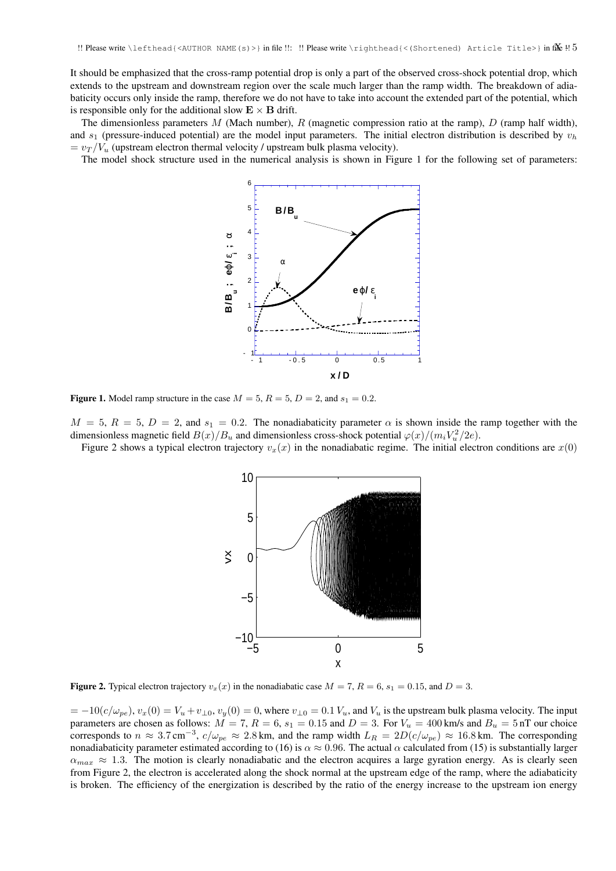It should be emphasized that the cross-ramp potential drop is only a part of the observed cross-shock potential drop, which extends to the upstream and downstream region over the scale much larger than the ramp width. The breakdown of adiabaticity occurs only inside the ramp, therefore we do not have to take into account the extended part of the potential, which is responsible only for the additional slow  $\mathbf{E} \times \mathbf{B}$  drift.

The dimensionless parameters M (Mach number), R (magnetic compression ratio at the ramp), D (ramp half width), and  $s_1$  (pressure-induced potential) are the model input parameters. The initial electron distribution is described by  $v_h$  $= v_T / V_u$  (upstream electron thermal velocity / upstream bulk plasma velocity).

The model shock structure used in the numerical analysis is shown in Figure 1 for the following set of parameters:



Figure 1. Model ramp structure in the case  $M = 5$ ,  $R = 5$ ,  $D = 2$ , and  $s_1 = 0.2$ .

 $M = 5$ ,  $R = 5$ ,  $D = 2$ , and  $s_1 = 0.2$ . The nonadiabaticity parameter  $\alpha$  is shown inside the ramp together with the dimensionless magnetic field  $B(x)/B_u$  and dimensionless cross-shock potential  $\varphi(x)/(m_i V_u^2/2e)$ .

Figure 2 shows a typical electron trajectory  $v<sub>x</sub>(x)$  in the nonadiabatic regime. The initial electron conditions are  $x(0)$ 



**Figure 2.** Typical electron trajectory  $v_x(x)$  in the nonadiabatic case  $M = 7$ ,  $R = 6$ ,  $s_1 = 0.15$ , and  $D = 3$ .

 $= -10(c/\omega_{pe}), v_x(0) = V_u + v_{\perp 0}, v_y(0) = 0$ , where  $v_{\perp 0} = 0.1 V_u$ , and  $V_u$  is the upstream bulk plasma velocity. The input parameters are chosen as follows:  $M = 7$ ,  $R = 6$ ,  $s_1 = 0.15$  and  $D = 3$ . For  $V_u = 400$  km/s and  $B_u = 5$  nT our choice corresponds to  $n \approx 3.7 \text{ cm}^{-3}$ ,  $c/\omega_{pe} \approx 2.8 \text{ km}$ , and the ramp width  $L_R = 2D(c/\omega_{pe}) \approx 16.8 \text{ km}$ . The corresponding nonadiabaticity parameter estimated according to (16) is  $\alpha \approx 0.96$ . The actual  $\alpha$  calculated from (15) is substantially larger  $\alpha_{max} \approx 1.3$ . The motion is clearly nonadiabatic and the electron acquires a large gyration energy. As is clearly seen from Figure 2, the electron is accelerated along the shock normal at the upstream edge of the ramp, where the adiabaticity is broken. The efficiency of the energization is described by the ratio of the energy increase to the upstream ion energy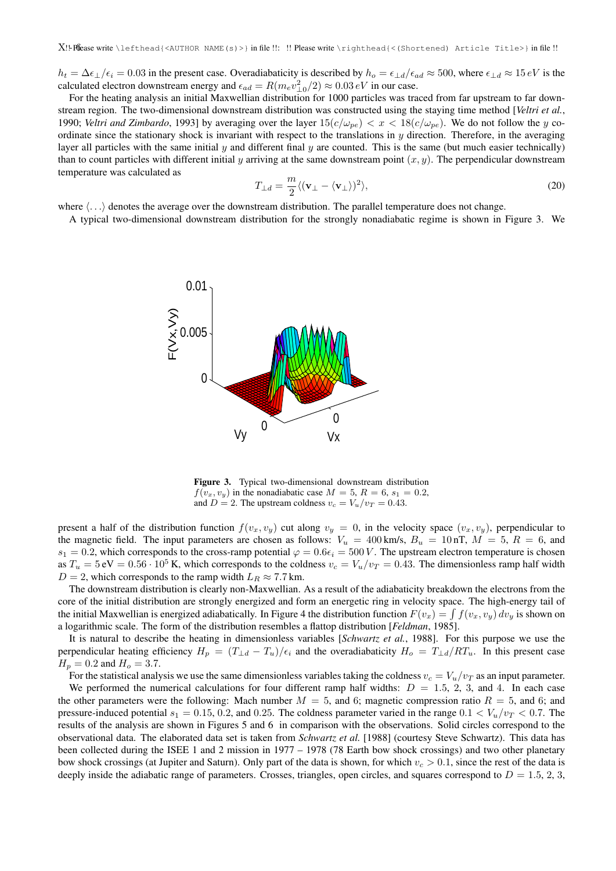$h_t = \Delta \epsilon_{\perp}/\epsilon_i = 0.03$  in the present case. Overadiabaticity is described by  $h_o = \epsilon_{\perp d}/\epsilon_{ad} \approx 500$ , where  $\epsilon_{\perp d} \approx 15 eV$  is the calculated electron downstream energy and  $\epsilon_{ad} = R(m_e v_{\perp 0}^2/2) \approx 0.03 \, eV$  in our case.

For the heating analysis an initial Maxwellian distribution for 1000 particles was traced from far upstream to far downstream region. The two-dimensional downstream distribution was constructed using the staying time method [*Veltri et al.*, 1990; *Veltri and Zimbardo*, 1993] by averaging over the layer  $15(c/\omega_{pe}) < x < 18(c/\omega_{pe})$ . We do not follow the y coordinate since the stationary shock is invariant with respect to the translations in  $y$  direction. Therefore, in the averaging layer all particles with the same initial  $y$  and different final  $y$  are counted. This is the same (but much easier technically) than to count particles with different initial y arriving at the same downstream point  $(x, y)$ . The perpendicular downstream temperature was calculated as

$$
T_{\perp d} = \frac{m}{2} \langle (\mathbf{v}_{\perp} - \langle \mathbf{v}_{\perp} \rangle)^2 \rangle, \tag{20}
$$

where  $\langle \ldots \rangle$  denotes the average over the downstream distribution. The parallel temperature does not change.

A typical two-dimensional downstream distribution for the strongly nonadiabatic regime is shown in Figure 3. We



Figure 3. Typical two-dimensional downstream distribution  $f(v_x, v_y)$  in the nonadiabatic case  $M = 5$ ,  $R = 6$ ,  $s_1 = 0.2$ , and  $D = 2$ . The upstream coldness  $v_c = V_u/v_T = 0.43$ .

present a half of the distribution function  $f(v_x, v_y)$  cut along  $v_y = 0$ , in the velocity space  $(v_x, v_y)$ , perpendicular to the magnetic field. The input parameters are chosen as follows:  $V_u = 400$  km/s,  $B_u = 10$  nT,  $M = 5$ ,  $R = 6$ , and  $s_1 = 0.2$ , which corresponds to the cross-ramp potential  $\varphi = 0.6\epsilon_i = 500 V$ . The upstream electron temperature is chosen as  $T_u = 5 \text{ eV} = 0.56 \cdot 10^5 \text{ K}$ , which corresponds to the coldness  $v_c = V_u/v_T = 0.43$ . The dimensionless ramp half width  $D = 2$ , which corresponds to the ramp width  $L_R \approx 7.7$  km.

The downstream distribution is clearly non-Maxwellian. As a result of the adiabaticity breakdown the electrons from the core of the initial distribution are strongly energized and form an energetic ring in velocity space. The high-energy tail of the initial Maxwellian is energized adiabatically. In Figure 4 the distribution function  $F(v_x) = \int f(v_x, v_y) dv_y$  is shown on a logarithmic scale. The form of the distribution resembles a flattop distribution [*Feldman*, 1985].

It is natural to describe the heating in dimensionless variables [*Schwartz et al.*, 1988]. For this purpose we use the perpendicular heating efficiency  $H_p = (T_{\perp d} - T_u)/\epsilon_i$  and the overadiabaticity  $H_o = T_{\perp d}/RT_u$ . In this present case  $H_p = 0.2$  and  $H_o = 3.7$ .

For the statistical analysis we use the same dimensionless variables taking the coldness  $v_c = V_u/v_T$  as an input parameter.

We performed the numerical calculations for four different ramp half widths:  $D = 1.5, 2, 3$ , and 4. In each case the other parameters were the following: Mach number  $M = 5$ , and 6; magnetic compression ratio  $R = 5$ , and 6; and pressure-induced potential  $s_1 = 0.15, 0.2,$  and 0.25. The coldness parameter varied in the range  $0.1 < V_u/v_T < 0.7$ . The results of the analysis are shown in Figures 5 and 6 in comparison with the observations. Solid circles correspond to the observational data. The elaborated data set is taken from *Schwartz et al.* [1988] (courtesy Steve Schwartz). This data has been collected during the ISEE 1 and 2 mission in 1977 – 1978 (78 Earth bow shock crossings) and two other planetary bow shock crossings (at Jupiter and Saturn). Only part of the data is shown, for which  $v_c > 0.1$ , since the rest of the data is deeply inside the adiabatic range of parameters. Crosses, triangles, open circles, and squares correspond to  $D = 1.5, 2, 3$ ,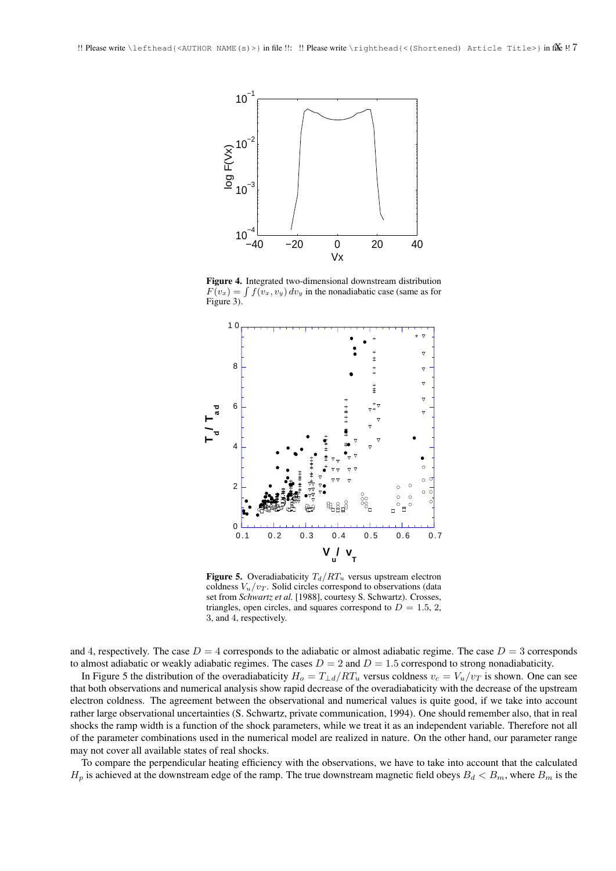

Figure 4. Integrated two-dimensional downstream distribution  $F(v_x) = \int f(v_x, v_y) dv_y$  in the nonadiabatic case (same as for Figure 3).



Figure 5. Overadiabaticity  $T_d/RT_u$  versus upstream electron coldness  $V_u/v_T$ . Solid circles correspond to observations (data set from *Schwartz et al.* [1988], courtesy S. Schwartz). Crosses, triangles, open circles, and squares correspond to  $D = 1.5, 2$ , 3, and 4, respectively.

and 4, respectively. The case  $D = 4$  corresponds to the adiabatic or almost adiabatic regime. The case  $D = 3$  corresponds to almost adiabatic or weakly adiabatic regimes. The cases  $D = 2$  and  $D = 1.5$  correspond to strong nonadiabaticity.

In Figure 5 the distribution of the overadiabaticity  $H_o = T_{\perp d}/RT_u$  versus coldness  $v_c = V_u/v_T$  is shown. One can see that both observations and numerical analysis show rapid decrease of the overadiabaticity with the decrease of the upstream electron coldness. The agreement between the observational and numerical values is quite good, if we take into account rather large observational uncertainties (S. Schwartz, private communication, 1994). One should remember also, that in real shocks the ramp width is a function of the shock parameters, while we treat it as an independent variable. Therefore not all of the parameter combinations used in the numerical model are realized in nature. On the other hand, our parameter range may not cover all available states of real shocks.

To compare the perpendicular heating efficiency with the observations, we have to take into account that the calculated  $H_p$  is achieved at the downstream edge of the ramp. The true downstream magnetic field obeys  $B_d < B_m$ , where  $B_m$  is the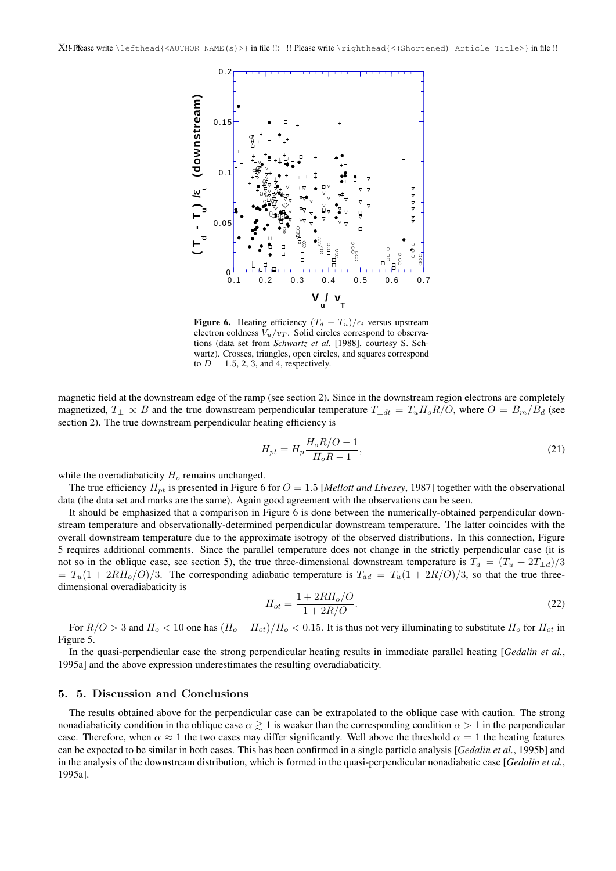

**Figure 6.** Heating efficiency  $(T_d - T_u)/\epsilon_i$  versus upstream electron coldness  $V_u/v_T$ . Solid circles correspond to observations (data set from *Schwartz et al.* [1988], courtesy S. Schwartz). Crosses, triangles, open circles, and squares correspond to  $D = 1.5, 2, 3$ , and 4, respectively.

magnetic field at the downstream edge of the ramp (see section 2). Since in the downstream region electrons are completely magnetized,  $T_{\perp} \propto B$  and the true downstream perpendicular temperature  $T_{\perp dt} = T_u H_o R/O$ , where  $O = B_m/B_d$  (see section 2). The true downstream perpendicular heating efficiency is

$$
H_{pt} = H_p \frac{H_o R / O - 1}{H_o R - 1},\tag{21}
$$

while the overadiabaticity  $H<sub>o</sub>$  remains unchanged.

The true efficiency  $H_{pt}$  is presented in Figure 6 for  $O = 1.5$  [*Mellott and Livesey*, 1987] together with the observational data (the data set and marks are the same). Again good agreement with the observations can be seen.

It should be emphasized that a comparison in Figure 6 is done between the numerically-obtained perpendicular downstream temperature and observationally-determined perpendicular downstream temperature. The latter coincides with the overall downstream temperature due to the approximate isotropy of the observed distributions. In this connection, Figure 5 requires additional comments. Since the parallel temperature does not change in the strictly perpendicular case (it is not so in the oblique case, see section 5), the true three-dimensional downstream temperature is  $T_d = (T_u + 2T_{\perp d})/3$  $T_u(1 + 2R_{\alpha}/\mathcal{O})/3$ . The corresponding adiabatic temperature is  $T_{ad} = T_u(1 + 2R/\mathcal{O})/3$ , so that the true threedimensional overadiabaticity is

$$
H_{ot} = \frac{1 + 2RH_o/O}{1 + 2R/O}.
$$
\n(22)

For  $R/O > 3$  and  $H_o < 10$  one has  $(H_o - H_{ot})/H_o < 0.15$ . It is thus not very illuminating to substitute  $H_o$  for  $H_{ot}$  in Figure 5.

In the quasi-perpendicular case the strong perpendicular heating results in immediate parallel heating [*Gedalin et al.*, 1995a] and the above expression underestimates the resulting overadiabaticity.

## 5. 5. Discussion and Conclusions

The results obtained above for the perpendicular case can be extrapolated to the oblique case with caution. The strong nonadiabaticity condition in the oblique case  $\alpha \gtrsim 1$  is weaker than the corresponding condition  $\alpha > 1$  in the perpendicular case. Therefore, when  $\alpha \approx 1$  the two cases may differ significantly. Well above the threshold  $\alpha = 1$  the heating features can be expected to be similar in both cases. This has been confirmed in a single particle analysis [*Gedalin et al.*, 1995b] and in the analysis of the downstream distribution, which is formed in the quasi-perpendicular nonadiabatic case [*Gedalin et al.*, 1995a].